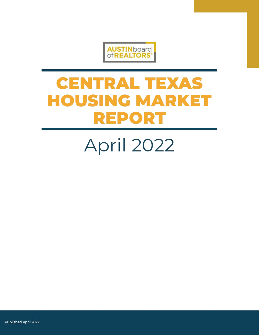

# **CENTRAL TEXAS HOUSING MARKET REPORT**

# April 2022

Published April 2022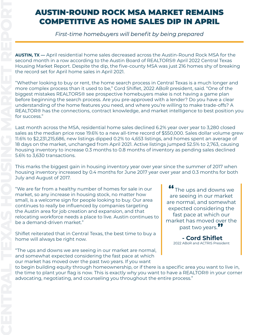### AUSTIN-ROUND ROCK MSA MARKET REMAINS COMPETITIVE AS HOME SALES DIP IN APRIL

*First-time homebuyers will benefit by being prepared* 

**AUSTIN, TX —** April residential home sales decreased across the Austin-Round Rock MSA for the second month in a row according to the Austin Board of REALTORS® April 2022 Central Texas Housing Market Report. Despite the dip, the five-county MSA was just 216 homes shy of breaking the record set for April home sales in April 2021.

"Whether looking to buy or rent, the home search process in Central Texas is a much longer and more complex process than it used to be," Cord Shiflet, 2022 ABoR president, said. "One of the biggest mistakes REALTORS® see prospective homebuyers make is not having a game plan before beginning the search process. Are you pre-approved with a lender? Do you have a clear understanding of the home features you need, and where you're willing to make trade-offs? A REALTOR® has the connections, contract knowledge, and market intelligence to best position you for success."

Last month across the MSA, residential home sales declined 6.2% year over year to 3,280 closed sales as the median price rose 19.6% to a new all-time record of \$550,000. Sales dollar volume grew 11.6% to \$2,231,215,686, new listings dipped 0.2% to 4,653 listings, and homes spent an average of 18 days on the market, unchanged from April 2021. Active listings jumped 52.5% to 2,763, causing housing inventory to increase 0.3 months to 0.8 months of inventory as pending sales declined 5.6% to 3,630 transactions.

This marks the biggest gain in housing inventory year over year since the summer of 2017 when housing inventory increased by 0.4 months for June 2017 year over year and 0.3 months for both July and August of 2017.

"We are far from a healthy number of homes for sale in our market, so any increase in housing stock, no matter how small, is a welcome sign for people looking to buy. Our area continues to really be influenced by companies targeting the Austin area for job creation and expansion, and that relocating workforce needs a place to live. Austin continues to be a demand-driven market."

Shiflet reiterated that in Central Texas, the best time to buy a home will always be right now.

"The ups and downs we are seeing in our market are normal, and somewhat expected considering the fast pace at which our market has moved over the past two years. If you want

**"**The ups and downs we are seeing in our market are normal, and somewhat expected considering the fast pace at which our market has moved over the past two years.**"**

> **- Cord Shiflet** 2022 ABoR and ACTRIS President

to begin building equity through homeownership, or if there is a specific area you want to live in, the time to plant your flag is now. This is exactly why you want to have a REALTOR® in your corner advocating, negotiating, and counseling you throughout the entire process."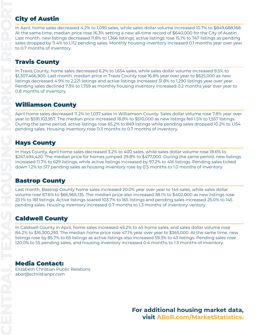#### **City of Austin**

In April, home sales decreased 4.2% to 1,095 sales, while sales dollar volume increased 10.7% to \$849,688,168. At the same time, median price rose 16.3% setting a new all-time record of \$640,000 for the City of Austin. Last month, new listings decreased 11.8% to 1,366 listings, active listings rose 15.1% to 747 listings as pending sales dropped by 11.4% to 1,112 pending sales. Monthly housing inventory increased 0.1 months year over year to 0.7 months of inventory.

#### Travis County

In Travis County, home sales decreased 6.2% to 1,654 sales, while sales dollar volume increased 9.5% to \$1,307,466,900. Last month, median price in Travis County rose 16.8% year over year to \$625,000 as new listings decreased 4.9% to 2,221 listings and active listings increased 31.8% to 1,290 listings year over year. Pending sales declined 7.3% to 1,759 as monthly housing inventory increased 0.2 months year over year to 0.8 months of inventory.

#### Williamson County

April home sales decreased 11.2% to 1,037 sales in Williamson County. Sales dollar volume rose 7.8% year over year to \$591,103,957. The median price increased 18.8% to \$510,000 as new listings fell 1.5% to 1,557 listings. During the same period, active listings rose 65.2% to 849 listings while pending sales dropped 10.2% to 1,154 pending sales. Housing inventory rose 0.3 months to 0.7 months of inventory.

#### Hays County

In Hays County, April home sales decreased 3.2% to 400 sales, while sales dollar volume rose 18.6% to \$247,494,420. The median price for homes jumped 29.8% to \$477,000. During the same period, new listings increased 11.7% to 629 listings, while active listings increased by 97.2% to 416 listings. Pending sales ticked down 1.2% to 517 pending sales as housing inventory rose by 0.5 months to 1.0 months of inventory.

#### Bastrop County

Last month, Bastrop County home sales increased 20.0% year over year to 144 sales, while sales dollar volume rose 67.6% to \$66,965,135. The median price also increased 38.1% to \$402,000 as new listings rose 23.1% to 181 listings. Active listings soared 103.7% to 165 listings and pending sales increased 25.0% to 145 pending sales. Housing inventory increased 0.7 months to 1.3 months of inventory. ventory.

#### Caldwell County

In Caldwell County in April, home sales increased 45.2% to 45 home sales, and sales dollar volume rose 84.2% to \$16,300,293. The median home price rose 47.1% year over year to \$365,000. At the same time, new listings rose by 85.7% to 65 listings as active listings also increased 59.3% to 43 listings. Pending sales rose 120.0% to 55 pending sales, and housing inventory increased 0.4 months to 1.3 months of inventory.

#### [Media Contact:](https://www.abor.com/marketstatistics)

[Elizabeth Christian Public Relations](https://www.abor.com/marketstatistics) [abor@echristianpr.com](https://www.abor.com/marketstatistics)

> **For additional housing market data, visit [ABoR.com/MarketStatistics](https://www.abor.com/marketstatistics).**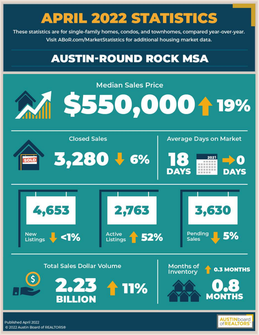These statistics are for single-family homes, condos, and townhomes, compared year-over-year. Visit ABoR.com/MarketStatistics for additional housing market data.

### **AUSTIN-ROUND ROCK MSA**



**of REALTOR**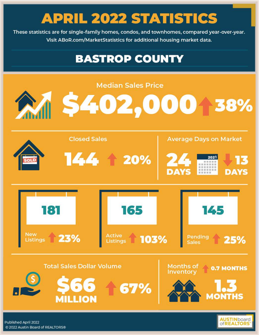These statistics are for single-family homes, condos, and townhomes, compared year-over-year. Visit ABoR.com/MarketStatistics for additional housing market data.

### **BASTROP COUNTY**



**of REALTORS**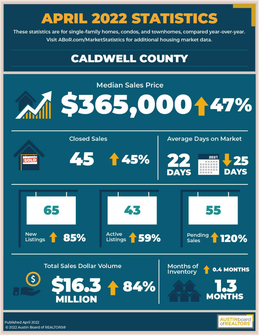These statistics are for single-family homes, condos, and townhomes, compared year-over-year. Visit ABoR.com/MarketStatistics for additional housing market data.

### **CALDWELL COUNTY**



of **REALTOR**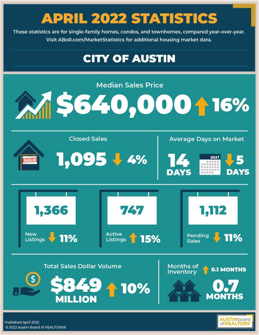These statistics are for single-family homes, condos, and townhomes, compared year-over-year. Visit ABoR.com/MarketStatistics for additional housing market data.

### **CITY OF AUSTIN**

**Median Sales Price** 



**Closed Sales Average Days on Market** 1,095 + 4% 2021 计计算出生 1.366 774 **New Active Pending** Listings 11% **11%** 15% Listings **Sales Total Sales Dollar Volume** Months of





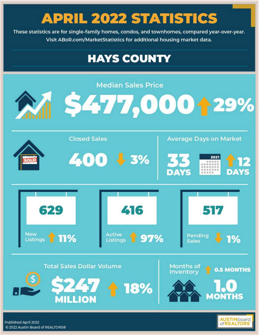These statistics are for single-family homes, condos, and townhomes, compared year-over-year. Visit ABoR.com/MarketStatistics for additional housing market data.

### **HAYS COUNTY**



@ 2022 Austin Board of REALTORS®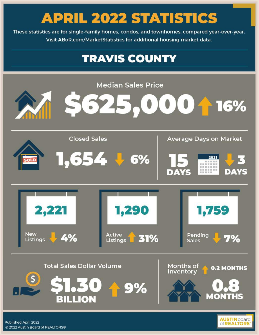These statistics are for single-family homes, condos, and townhomes, compared year-over-year. Visit ABoR.com/MarketStatistics for additional housing market data.

### **TRAVIS COUNTY**



@ 2022 Austin Board of REALTORS®